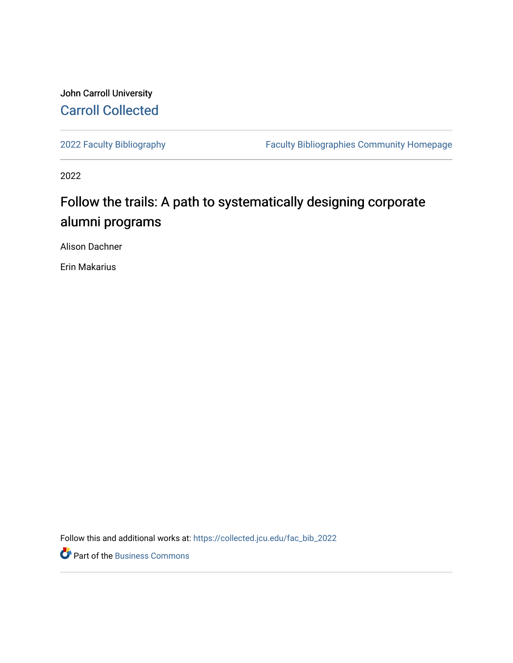## John Carroll University [Carroll Collected](https://collected.jcu.edu/)

[2022 Faculty Bibliography](https://collected.jcu.edu/fac_bib_2022) [Faculty Bibliographies Community Homepage](https://collected.jcu.edu/fac_bib_home) 

2022

# Follow the trails: A path to systematically designing corporate alumni programs

Alison Dachner

Erin Makarius

Follow this and additional works at: [https://collected.jcu.edu/fac\\_bib\\_2022](https://collected.jcu.edu/fac_bib_2022?utm_source=collected.jcu.edu%2Ffac_bib_2022%2F11&utm_medium=PDF&utm_campaign=PDFCoverPages) 

Part of the [Business Commons](https://network.bepress.com/hgg/discipline/622?utm_source=collected.jcu.edu%2Ffac_bib_2022%2F11&utm_medium=PDF&utm_campaign=PDFCoverPages)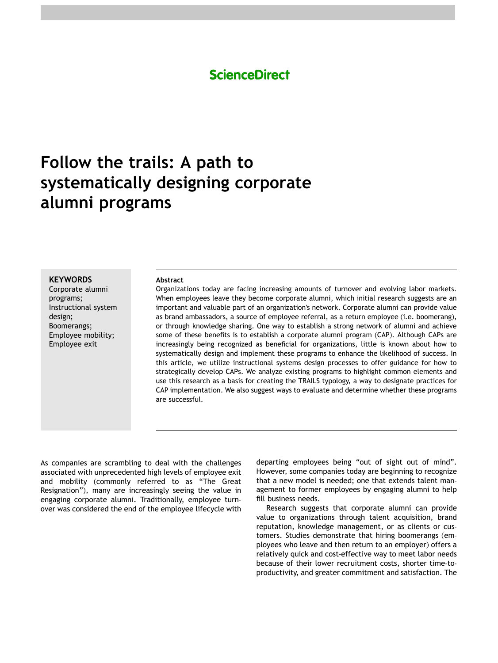## **ScienceDirect**

# **Follow the trails: A path to systematically designing corporate alumni programs**

#### **KEYWORDS**

Corporate alumni programs; Instructional system design; Boomerangs; Employee mobility; Employee exit

#### **Abstract**

Organizations today are facing increasing amounts of turnover and evolving labor markets. When employees leave they become corporate alumni, which initial research suggests are an important and valuable part of an organization's network. Corporate alumni can provide value as brand ambassadors, a source of employee referral, as a return employee (i.e. boomerang), or through knowledge sharing. One way to establish a strong network of alumni and achieve some of these benefits is to establish a corporate alumni program (CAP). Although CAPs are increasingly being recognized as beneficial for organizations, little is known about how to systematically design and implement these programs to enhance the likelihood of success. In this article, we utilize instructional systems design processes to offer guidance for how to strategically develop CAPs. We analyze existing programs to highlight common elements and use this research as a basis for creating the TRAILS typology, a way to designate practices for CAP implementation. We also suggest ways to evaluate and determine whether these programs are successful.

As companies are scrambling to deal with the challenges associated with unprecedented high levels of employee exit and mobility (commonly referred to as "The Great Resignation"), many are increasingly seeing the value in engaging corporate alumni. Traditionally, employee turnover was considered the end of the employee lifecycle with departing employees being "out of sight out of mind". However, some companies today are beginning to recognize that a new model is needed; one that extends talent management to former employees by engaging alumni to help fill business needs.

Research suggests that corporate alumni can provide value to organizations through talent acquisition, brand reputation, knowledge management, or as clients or customers. Studies demonstrate that hiring boomerangs (employees who leave and then return to an employer) offers a relatively quick and cost-effective way to meet labor needs because of their lower recruitment costs, shorter time-toproductivity, and greater commitment and satisfaction. The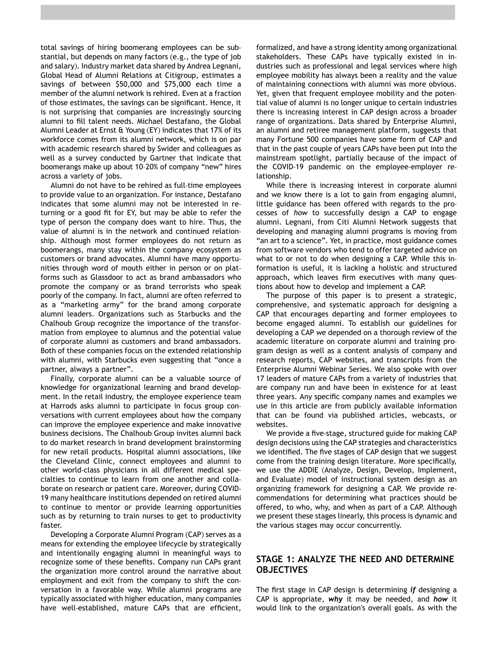total savings of hiring boomerang employees can be substantial, but depends on many factors (e.g., the type of job and salary). Industry market data shared by Andrea Legnani, Global Head of Alumni Relations at Citigroup, estimates a savings of between \$50,000 and \$75,000 each time a member of the alumni network is rehired. Even at a fraction of those estimates, the savings can be significant. Hence, it is not surprising that companies are increasingly sourcing alumni to fill talent needs. Michael Destafano, the Global Alumni Leader at Ernst & Young (EY) indicates that 17% of its workforce comes from its alumni network, which is on par with academic research shared by Swider and colleagues as well as a survey conducted by Gartner that indicate that boomerangs make up about 10–20% of company "new" hires across a variety of jobs.

Alumni do not have to be rehired as full-time employees to provide value to an organization. For instance, Destafano indicates that some alumni may not be interested in returning or a good fit for EY, but may be able to refer the type of person the company does want to hire. Thus, the value of alumni is in the network and continued relationship. Although most former employees do not return as boomerangs, many stay within the company ecosystem as customers or brand advocates. Alumni have many opportunities through word of mouth either in person or on platforms such as Glassdoor to act as brand ambassadors who promote the company or as brand terrorists who speak poorly of the company. In fact, alumni are often referred to as a "marketing army" for the brand among corporate alumni leaders. Organizations such as Starbucks and the Chalhoub Group recognize the importance of the transformation from employee to alumnus and the potential value of corporate alumni as customers and brand ambassadors. Both of these companies focus on the extended relationship with alumni, with Starbucks even suggesting that "once a partner, always a partner".

Finally, corporate alumni can be a valuable source of knowledge for organizational learning and brand development. In the retail industry, the employee experience team at Harrods asks alumni to participate in focus group conversations with current employees about how the company can improve the employee experience and make innovative business decisions. The Chalhoub Group invites alumni back to do market research in brand development brainstorming for new retail products. Hospital alumni associations, like the Cleveland Clinic, connect employees and alumni to other world-class physicians in all different medical specialties to continue to learn from one another and collaborate on research or patient care. Moreover, during COVID-19 many healthcare institutions depended on retired alumni to continue to mentor or provide learning opportunities such as by returning to train nurses to get to productivity faster.

Developing a Corporate Alumni Program (CAP) serves as a means for extending the employee lifecycle by strategically and intentionally engaging alumni in meaningful ways to recognize some of these benefits. Company run CAPs grant the organization more control around the narrative about employment and exit from the company to shift the conversation in a favorable way. While alumni programs are typically associated with higher education, many companies have well-established, mature CAPs that are efficient,

formalized, and have a strong identity among organizational stakeholders. These CAPs have typically existed in industries such as professional and legal services where high employee mobility has always been a reality and the value of maintaining connections with alumni was more obvious. Yet, given that frequent employee mobility and the potential value of alumni is no longer unique to certain industries there is increasing interest in CAP design across a broader range of organizations. Data shared by Enterprise Alumni, an alumni and retiree management platform, suggests that many Fortune 500 companies have some form of CAP and that in the past couple of years CAPs have been put into the mainstream spotlight, partially because of the impact of the COVID-19 pandemic on the employee-employer relationship.

While there is increasing interest in corporate alumni and we know there is a lot to gain from engaging alumni, little guidance has been offered with regards to the processes of *how* to successfully design a CAP to engage alumni. Legnani, from Citi Alumni Network suggests that developing and managing alumni programs is moving from "an art to a science". Yet, in practice, most guidance comes from software vendors who tend to offer targeted advice on what to or not to do when designing a CAP. While this information is useful, it is lacking a holistic and structured approach, which leaves firm executives with many questions about how to develop and implement a CAP.

The purpose of this paper is to present a strategic, comprehensive, and systematic approach for designing a CAP that encourages departing and former employees to become engaged alumni. To establish our guidelines for developing a CAP we depended on a thorough review of the academic literature on corporate alumni and training program design as well as a content analysis of company and research reports, CAP websites, and transcripts from the Enterprise Alumni Webinar Series. We also spoke with over 17 leaders of mature CAPs from a variety of industries that are company run and have been in existence for at least three years. Any specific company names and examples we use in this article are from publicly available information that can be found via published articles, webcasts, or websites.

We provide a five-stage, structured guide for making CAP design decisions using the CAP strategies and characteristics we identified. The five stages of CAP design that we suggest come from the training design literature. More specifically, we use the ADDIE (Analyze, Design, Develop, Implement, and Evaluate) model of instructional system design as an organizing framework for designing a CAP. We provide recommendations for determining what practices should be offered, to who, why, and when as part of a CAP. Although we present these stages linearly, this process is dynamic and the various stages may occur concurrently.

## **STAGE 1: ANALYZE THE NEED AND DETERMINE OBJECTIVES**

The first stage in CAP design is determining *if* designing a CAP is appropriate, *why* it may be needed, and *how* it would link to the organization's overall goals*.* As with the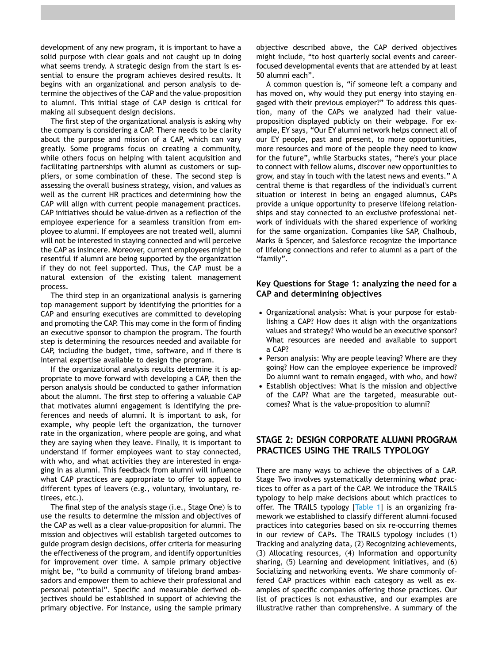development of any new program, it is important to have a solid purpose with clear goals and not caught up in doing what seems trendy. A strategic design from the start is essential to ensure the program achieves desired results. It begins with an organizational and person analysis to determine the objectives of the CAP and the value-proposition to alumni. This initial stage of CAP design is critical for making all subsequent design decisions.

The first step of the organizational analysis is asking why the company is considering a CAP. There needs to be clarity about the purpose and mission of a CAP, which can vary greatly. Some programs focus on creating a community, while others focus on helping with talent acquisition and facilitating partnerships with alumni as customers or suppliers, or some combination of these. The second step is assessing the overall business strategy, vision, and values as well as the current HR practices and determining how the CAP will align with current people management practices. CAP initiatives should be value-driven as a reflection of the employee experience for a seamless transition from employee to alumni. If employees are not treated well, alumni will not be interested in staying connected and will perceive the CAP as insincere. Moreover, current employees might be resentful if alumni are being supported by the organization if they do not feel supported. Thus, the CAP must be a natural extension of the existing talent management process.

The third step in an organizational analysis is garnering top management support by identifying the priorities for a CAP and ensuring executives are committed to developing and promoting the CAP. This may come in the form of finding an executive sponsor to champion the program. The fourth step is determining the resources needed and available for CAP, including the budget, time, software, and if there is internal expertise available to design the program.

If the organizational analysis results determine it is appropriate to move forward with developing a CAP, then the person analysis should be conducted to gather information about the alumni. The first step to offering a valuable CAP that motivates alumni engagement is identifying the preferences and needs of alumni. It is important to ask, for example, why people left the organization, the turnover rate in the organization, where people are going, and what they are saying when they leave. Finally, it is important to understand if former employees want to stay connected, with who, and what activities they are interested in engaging in as alumni. This feedback from alumni will influence what CAP practices are appropriate to offer to appeal to different types of leavers (e.g., voluntary, involuntary, retirees, etc.).

The final step of the analysis stage (i.e., Stage One) is to use the results to determine the mission and objectives of the CAP as well as a clear value-proposition for alumni. The mission and objectives will establish targeted outcomes to guide program design decisions, offer criteria for measuring the effectiveness of the program, and identify opportunities for improvement over time. A sample primary objective might be, "to build a community of lifelong brand ambassadors and empower them to achieve their professional and personal potential". Specific and measurable derived objectives should be established in support of achieving the primary objective. For instance, using the sample primary

objective described above, the CAP derived objectives might include, "to host quarterly social events and careerfocused developmental events that are attended by at least 50 alumni each".

A common question is, "if someone left a company and has moved on, why would they put energy into staying engaged with their previous employer?" To address this question, many of the CAPs we analyzed had their valueproposition displayed publicly on their webpage. For example, EY says, "Our EY alumni network helps connect all of our EY people, past and present, to more opportunities, more resources and more of the people they need to know for the future", while Starbucks states, "here's your place to connect with fellow alums, discover new opportunities to grow, and stay in touch with the latest news and events." A central theme is that regardless of the individual's current situation or interest in being an engaged alumnus, CAPs provide a unique opportunity to preserve lifelong relationships and stay connected to an exclusive professional network of individuals with the shared experience of working for the same organization. Companies like SAP, Chalhoub, Marks & Spencer, and Salesforce recognize the importance of lifelong connections and refer to alumni as a part of the "family".

## **Key Questions for Stage 1: analyzing the need for a CAP and determining objectives**

- Organizational analysis: What is your purpose for establishing a CAP? How does it align with the organizations values and strategy? Who would be an executive sponsor? What resources are needed and available to support a CAP?
- Person analysis: Why are people leaving? Where are they going? How can the employee experience be improved? Do alumni want to remain engaged, with who, and how?
- Establish objectives: What is the mission and objective of the CAP? What are the targeted, measurable outcomes? What is the value-proposition to alumni?

## **STAGE 2: DESIGN CORPORATE ALUMNI PROGRAM PRACTICES USING THE TRAILS TYPOLOGY**

There are many ways to achieve the objectives of a CAP. Stage Two involves systematically determining *what* practices to offer as a part of the CAP. We introduce the TRAILS typology to help make decisions about which practices to offer. The TRAILS typology [[Table 1](#page-4-0)] is an organizing framework we established to classify different alumni-focused practices into categories based on six re-occurring themes in our review of CAPs. The TRAILS typology includes (1) Tracking and analyzing data, (2) Recognizing achievements, (3) Allocating resources, (4) Information and opportunity sharing, (5) Learning and development initiatives, and (6) Socializing and networking events. We share commonly offered CAP practices within each category as well as examples of specific companies offering those practices. Our list of practices is not exhaustive, and our examples are illustrative rather than comprehensive. A summary of the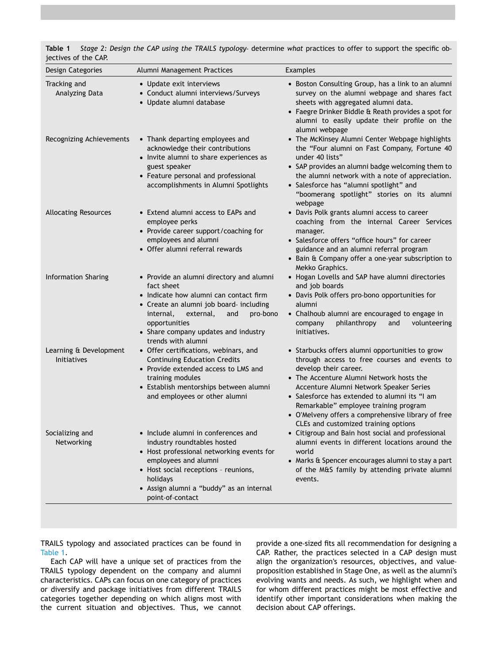<span id="page-4-0"></span>

| Table 1              | Stage 2: Design the CAP using the TRAILS typology- determine what practices to offer to support the specific ob- |  |  |  |  |  |  |
|----------------------|------------------------------------------------------------------------------------------------------------------|--|--|--|--|--|--|
| jectives of the CAP. |                                                                                                                  |  |  |  |  |  |  |

| Design Categories                            | Alumni Management Practices                                                                                                                                                                                                                                             | Examples                                                                                                                                                                                                                                                                                                                                                                                                |  |  |  |  |
|----------------------------------------------|-------------------------------------------------------------------------------------------------------------------------------------------------------------------------------------------------------------------------------------------------------------------------|---------------------------------------------------------------------------------------------------------------------------------------------------------------------------------------------------------------------------------------------------------------------------------------------------------------------------------------------------------------------------------------------------------|--|--|--|--|
| Tracking and<br>Analyzing Data               | • Update exit interviews<br>• Conduct alumni interviews/Surveys<br>· Update alumni database                                                                                                                                                                             | • Boston Consulting Group, has a link to an alumni<br>survey on the alumni webpage and shares fact<br>sheets with aggregated alumni data.<br>• Faegre Drinker Biddle & Reath provides a spot for<br>alumni to easily update their profile on the<br>alumni webpage                                                                                                                                      |  |  |  |  |
| Recognizing Achievements                     | • Thank departing employees and<br>acknowledge their contributions<br>• Invite alumni to share experiences as<br>guest speaker<br>• Feature personal and professional<br>accomplishments in Alumni Spotlights                                                           | • The McKinsey Alumni Center Webpage highlights<br>the "Four alumni on Fast Company, Fortune 40<br>under 40 lists"<br>• SAP provides an alumni badge welcoming them to<br>the alumni network with a note of appreciation.<br>· Salesforce has "alumni spotlight" and<br>"boomerang spotlight" stories on its alumni<br>webpage                                                                          |  |  |  |  |
| <b>Allocating Resources</b>                  | • Extend alumni access to EAPs and<br>employee perks<br>• Provide career support/coaching for<br>employees and alumni<br>• Offer alumni referral rewards                                                                                                                | • Davis Polk grants alumni access to career<br>coaching from the internal Career Services<br>manager.<br>• Salesforce offers "office hours" for career<br>guidance and an alumni referral program<br>• Bain & Company offer a one-year subscription to<br>Mekko Graphics.                                                                                                                               |  |  |  |  |
| Information Sharing                          | • Provide an alumni directory and alumni<br>fact sheet<br>• Indicate how alumni can contact firm<br>• Create an alumni job board- including<br>external,<br>pro-bono<br>internal,<br>and<br>opportunities<br>• Share company updates and industry<br>trends with alumni | • Hogan Lovells and SAP have alumni directories<br>and job boards<br>• Davis Polk offers pro-bono opportunities for<br>alumni<br>• Chalhoub alumni are encouraged to engage in<br>philanthropy<br>volunteering<br>company<br>and<br>initiatives.                                                                                                                                                        |  |  |  |  |
| Learning & Development<br><b>Initiatives</b> | • Offer certifications, webinars, and<br><b>Continuing Education Credits</b><br>• Provide extended access to LMS and<br>training modules<br>• Establish mentorships between alumni<br>and employees or other alumni                                                     | • Starbucks offers alumni opportunities to grow<br>through access to free courses and events to<br>develop their career.<br>• The Accenture Alumni Network hosts the<br>Accenture Alumni Network Speaker Series<br>• Salesforce has extended to alumni its "I am<br>Remarkable" employee training program<br>• O'Melveny offers a comprehensive library of free<br>CLEs and customized training options |  |  |  |  |
| Socializing and<br>Networking                | • Include alumni in conferences and<br>industry roundtables hosted<br>• Host professional networking events for<br>employees and alumni<br>• Host social receptions - reunions,<br>holidays<br>· Assign alumni a "buddy" as an internal<br>point-of-contact             | • Citigroup and Bain host social and professional<br>alumni events in different locations around the<br>world<br>• Marks & Spencer encourages alumni to stay a part<br>of the M&S family by attending private alumni<br>events.                                                                                                                                                                         |  |  |  |  |

TRAILS typology and associated practices can be found in [Table 1.](#page-4-0)

Each CAP will have a unique set of practices from the TRAILS typology dependent on the company and alumni characteristics. CAPs can focus on one category of practices or diversify and package initiatives from different TRAILS categories together depending on which aligns most with the current situation and objectives. Thus, we cannot provide a one-sized fits all recommendation for designing a CAP. Rather, the practices selected in a CAP design must align the organization's resources, objectives, and valueproposition established in Stage One, as well as the alumni's evolving wants and needs. As such, we highlight when and for whom different practices might be most effective and identify other important considerations when making the decision about CAP offerings.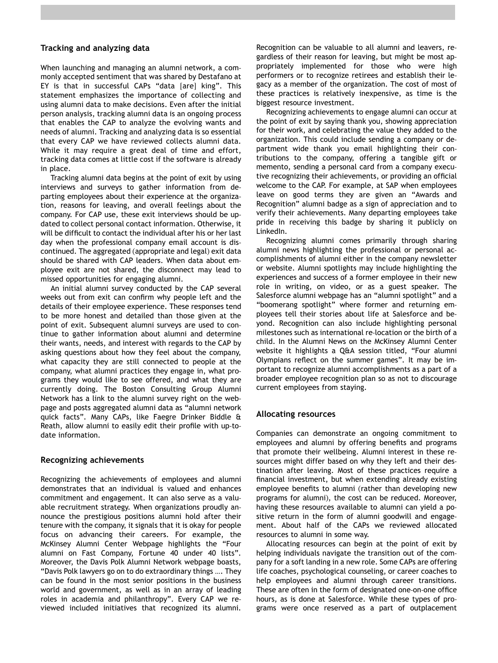### **Tracking and analyzing data**

When launching and managing an alumni network, a commonly accepted sentiment that was shared by Destafano at EY is that in successful CAPs "data [are] king". This statement emphasizes the importance of collecting and using alumni data to make decisions. Even after the initial person analysis, tracking alumni data is an ongoing process that enables the CAP to analyze the evolving wants and needs of alumni. Tracking and analyzing data is so essential that every CAP we have reviewed collects alumni data. While it may require a great deal of time and effort, tracking data comes at little cost if the software is already in place.

Tracking alumni data begins at the point of exit by using interviews and surveys to gather information from departing employees about their experience at the organization, reasons for leaving, and overall feelings about the company. For CAP use, these exit interviews should be updated to collect personal contact information. Otherwise, it will be difficult to contact the individual after his or her last day when the professional company email account is discontinued. The aggregated (appropriate and legal) exit data should be shared with CAP leaders. When data about employee exit are not shared, the disconnect may lead to missed opportunities for engaging alumni.

An initial alumni survey conducted by the CAP several weeks out from exit can confirm why people left and the details of their employee experience. These responses tend to be more honest and detailed than those given at the point of exit. Subsequent alumni surveys are used to continue to gather information about alumni and determine their wants, needs, and interest with regards to the CAP by asking questions about how they feel about the company, what capacity they are still connected to people at the company, what alumni practices they engage in, what programs they would like to see offered, and what they are currently doing. The Boston Consulting Group Alumni Network has a link to the alumni survey right on the webpage and posts aggregated alumni data as "alumni network quick facts". Many CAPs, like Faegre Drinker Biddle & Reath, allow alumni to easily edit their profile with up-todate information.

### **Recognizing achievements**

Recognizing the achievements of employees and alumni demonstrates that an individual is valued and enhances commitment and engagement. It can also serve as a valuable recruitment strategy. When organizations proudly announce the prestigious positions alumni hold after their tenure with the company, it signals that it is okay for people focus on advancing their careers. For example, the McKinsey Alumni Center Webpage highlights the "Four alumni on Fast Company, Fortune 40 under 40 lists". Moreover, the Davis Polk Alumni Network webpage boasts, "Davis Polk lawyers go on to do extraordinary things …. They can be found in the most senior positions in the business world and government, as well as in an array of leading roles in academia and philanthropy". Every CAP we reviewed included initiatives that recognized its alumni.

Recognition can be valuable to all alumni and leavers, regardless of their reason for leaving, but might be most appropriately implemented for those who were high performers or to recognize retirees and establish their legacy as a member of the organization. The cost of most of these practices is relatively inexpensive, as time is the biggest resource investment.

Recognizing achievements to engage alumni can occur at the point of exit by saying thank you, showing appreciation for their work, and celebrating the value they added to the organization. This could include sending a company or department wide thank you email highlighting their contributions to the company, offering a tangible gift or memento, sending a personal card from a company executive recognizing their achievements, or providing an official welcome to the CAP. For example, at SAP when employees leave on good terms they are given an "Awards and Recognition" alumni badge as a sign of appreciation and to verify their achievements. Many departing employees take pride in receiving this badge by sharing it publicly on LinkedIn.

Recognizing alumni comes primarily through sharing alumni news highlighting the professional or personal accomplishments of alumni either in the company newsletter or website. Alumni spotlights may include highlighting the experiences and success of a former employee in their new role in writing, on video, or as a guest speaker. The Salesforce alumni webpage has an "alumni spotlight" and a "boomerang spotlight" where former and returning employees tell their stories about life at Salesforce and beyond. Recognition can also include highlighting personal milestones such as international re-location or the birth of a child. In the Alumni News on the McKinsey Alumni Center website it highlights a Q&A session titled, "Four alumni Olympians reflect on the summer games". It may be important to recognize alumni accomplishments as a part of a broader employee recognition plan so as not to discourage current employees from staying.

#### **Allocating resources**

Companies can demonstrate an ongoing commitment to employees and alumni by offering benefits and programs that promote their wellbeing. Alumni interest in these resources might differ based on why they left and their destination after leaving. Most of these practices require a financial investment, but when extending already existing employee benefits to alumni (rather than developing new programs for alumni), the cost can be reduced. Moreover, having these resources available to alumni can yield a positive return in the form of alumni goodwill and engagement. About half of the CAPs we reviewed allocated resources to alumni in some way.

Allocating resources can begin at the point of exit by helping individuals navigate the transition out of the company for a soft landing in a new role. Some CAPs are offering life coaches, psychological counseling, or career coaches to help employees and alumni through career transitions. These are often in the form of designated one-on-one office hours, as is done at Salesforce. While these types of programs were once reserved as a part of outplacement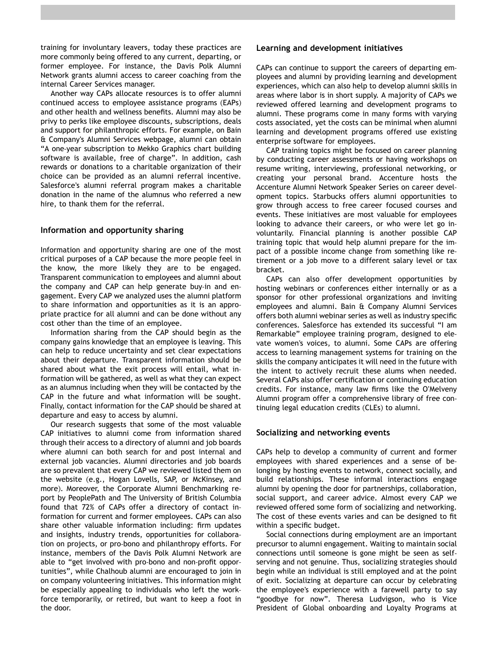training for involuntary leavers, today these practices are more commonly being offered to any current, departing, or former employee. For instance, the Davis Polk Alumni Network grants alumni access to career coaching from the internal Career Services manager.

Another way CAPs allocate resources is to offer alumni continued access to employee assistance programs (EAPs) and other health and wellness benefits. Alumni may also be privy to perks like employee discounts, subscriptions, deals and support for philanthropic efforts. For example, on Bain & Company's Alumni Services webpage, alumni can obtain "A one-year subscription to Mekko Graphics chart building software is available, free of charge". In addition, cash rewards or donations to a charitable organization of their choice can be provided as an alumni referral incentive. Salesforce's alumni referral program makes a charitable donation in the name of the alumnus who referred a new hire, to thank them for the referral.

### **Information and opportunity sharing**

Information and opportunity sharing are one of the most critical purposes of a CAP because the more people feel in the know, the more likely they are to be engaged. Transparent communication to employees and alumni about the company and CAP can help generate buy-in and engagement. Every CAP we analyzed uses the alumni platform to share information and opportunities as it is an appropriate practice for all alumni and can be done without any cost other than the time of an employee.

Information sharing from the CAP should begin as the company gains knowledge that an employee is leaving. This can help to reduce uncertainty and set clear expectations about their departure. Transparent information should be shared about what the exit process will entail, what information will be gathered, as well as what they can expect as an alumnus including when they will be contacted by the CAP in the future and what information will be sought. Finally, contact information for the CAP should be shared at departure and easy to access by alumni.

Our research suggests that some of the most valuable CAP initiatives to alumni come from information shared through their access to a directory of alumni and job boards where alumni can both search for and post internal and external job vacancies. Alumni directories and job boards are so prevalent that every CAP we reviewed listed them on the website (e.g., Hogan Lovells, SAP, or McKinsey, and more). Moreover, the Corporate Alumni Benchmarking report by PeoplePath and The University of British Columbia found that 72% of CAPs offer a directory of contact information for current and former employees. CAPs can also share other valuable information including: firm updates and insights, industry trends, opportunities for collaboration on projects, or pro-bono and philanthropy efforts. For instance, members of the Davis Polk Alumni Network are able to "get involved with pro-bono and non-profit opportunities", while Chalhoub alumni are encouraged to join in on company volunteering initiatives. This information might be especially appealing to individuals who left the workforce temporarily, or retired, but want to keep a foot in the door.

#### **Learning and development initiatives**

CAPs can continue to support the careers of departing employees and alumni by providing learning and development experiences, which can also help to develop alumni skills in areas where labor is in short supply. A majority of CAPs we reviewed offered learning and development programs to alumni. These programs come in many forms with varying costs associated, yet the costs can be minimal when alumni learning and development programs offered use existing enterprise software for employees.

CAP training topics might be focused on career planning by conducting career assessments or having workshops on resume writing, interviewing, professional networking, or creating your personal brand. Accenture hosts the Accenture Alumni Network Speaker Series on career development topics. Starbucks offers alumni opportunities to grow through access to free career focused courses and events. These initiatives are most valuable for employees looking to advance their careers, or who were let go involuntarily. Financial planning is another possible CAP training topic that would help alumni prepare for the impact of a possible income change from something like retirement or a job move to a different salary level or tax bracket.

CAPs can also offer development opportunities by hosting webinars or conferences either internally or as a sponsor for other professional organizations and inviting employees and alumni. Bain & Company Alumni Services offers both alumni webinar series as well as industry specific conferences. Salesforce has extended its successful "I am Remarkable" employee training program, designed to elevate women's voices, to alumni. Some CAPs are offering access to learning management systems for training on the skills the company anticipates it will need in the future with the intent to actively recruit these alums when needed. Several CAPs also offer certification or continuing education credits. For instance, many law firms like the O'Melveny Alumni program offer a comprehensive library of free continuing legal education credits (CLEs) to alumni.

### **Socializing and networking events**

CAPs help to develop a community of current and former employees with shared experiences and a sense of belonging by hosting events to network, connect socially, and build relationships. These informal interactions engage alumni by opening the door for partnerships, collaboration, social support, and career advice. Almost every CAP we reviewed offered some form of socializing and networking. The cost of these events varies and can be designed to fit within a specific budget.

Social connections during employment are an important precursor to alumni engagement. Waiting to maintain social connections until someone is gone might be seen as selfserving and not genuine. Thus, socializing strategies should begin while an individual is still employed and at the point of exit. Socializing at departure can occur by celebrating the employee's experience with a farewell party to say "goodbye for now". Theresa Ludvigson, who is Vice President of Global onboarding and Loyalty Programs at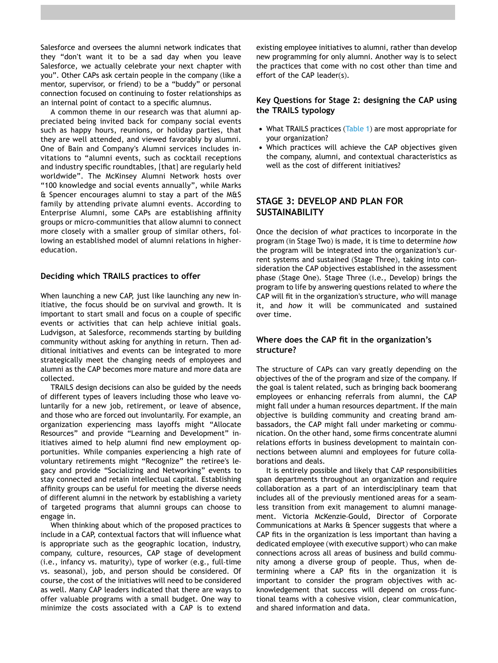Salesforce and oversees the alumni network indicates that they "don't want it to be a sad day when you leave Salesforce, we actually celebrate your next chapter with you". Other CAPs ask certain people in the company (like a mentor, supervisor, or friend) to be a "buddy" or personal connection focused on continuing to foster relationships as an internal point of contact to a specific alumnus.

A common theme in our research was that alumni appreciated being invited back for company social events such as happy hours, reunions, or holiday parties, that they are well attended, and viewed favorably by alumni. One of Bain and Company's Alumni services includes invitations to "alumni events, such as cocktail receptions and industry specific roundtables, [that] are regularly held worldwide". The McKinsey Alumni Network hosts over "100 knowledge and social events annually", while Marks & Spencer encourages alumni to stay a part of the M&S family by attending private alumni events. According to Enterprise Alumni, some CAPs are establishing affinity groups or micro-communities that allow alumni to connect more closely with a smaller group of similar others, following an established model of alumni relations in highereducation.

#### **Deciding which TRAILS practices to offer**

When launching a new CAP, just like launching any new initiative, the focus should be on survival and growth. It is important to start small and focus on a couple of specific events or activities that can help achieve initial goals. Ludvigson, at Salesforce, recommends starting by building community without asking for anything in return. Then additional initiatives and events can be integrated to more strategically meet the changing needs of employees and alumni as the CAP becomes more mature and more data are collected.

TRAILS design decisions can also be guided by the needs of different types of leavers including those who leave voluntarily for a new job, retirement, or leave of absence, and those who are forced out involuntarily. For example, an organization experiencing mass layoffs might "Allocate Resources" and provide "Learning and Development" initiatives aimed to help alumni find new employment opportunities. While companies experiencing a high rate of voluntary retirements might "Recognize" the retiree's legacy and provide "Socializing and Networking" events to stay connected and retain intellectual capital. Establishing affinity groups can be useful for meeting the diverse needs of different alumni in the network by establishing a variety of targeted programs that alumni groups can choose to engage in.

When thinking about which of the proposed practices to include in a CAP, contextual factors that will influence what is appropriate such as the geographic location, industry, company, culture, resources, CAP stage of development (i.e., infancy vs. maturity), type of worker (e.g., full-time vs. seasonal), job, and person should be considered. Of course, the cost of the initiatives will need to be considered as well. Many CAP leaders indicated that there are ways to offer valuable programs with a small budget. One way to minimize the costs associated with a CAP is to extend

existing employee initiatives to alumni, rather than develop new programming for only alumni. Another way is to select the practices that come with no cost other than time and effort of the CAP leader(s).

## **Key Questions for Stage 2: designing the CAP using the TRAILS typology**

- What TRAILS practices ([Table 1](#page-4-0)) are most appropriate for your organization?
- Which practices will achieve the CAP objectives given the company, alumni, and contextual characteristics as well as the cost of different initiatives?

## **STAGE 3: DEVELOP AND PLAN FOR SUSTAINABILITY**

Once the decision of *what* practices to incorporate in the program (in Stage Two) is made, it is time to determine *how*  the program will be integrated into the organization's current systems and sustained (Stage Three), taking into consideration the CAP objectives established in the assessment phase (Stage One). Stage Three (i.e., Develop) brings the program to life by answering questions related to *where* the CAP will fit in the organization's structure, *who* will manage it, and *how* it will be communicated and sustained over time.

## **Where does the CAP fit in the organization's structure?**

The structure of CAPs can vary greatly depending on the objectives of the of the program and size of the company. If the goal is talent related, such as bringing back boomerang employees or enhancing referrals from alumni, the CAP might fall under a human resources department. If the main objective is building community and creating brand ambassadors, the CAP might fall under marketing or communication. On the other hand, some firms concentrate alumni relations efforts in business development to maintain connections between alumni and employees for future collaborations and deals.

It is entirely possible and likely that CAP responsibilities span departments throughout an organization and require collaboration as a part of an interdisciplinary team that includes all of the previously mentioned areas for a seamless transition from exit management to alumni management. Victoria McKenzie-Gould, Director of Corporate Communications at Marks & Spencer suggests that where a CAP fits in the organization is less important than having a dedicated employee (with executive support) who can make connections across all areas of business and build community among a diverse group of people. Thus, when determining where a CAP fits in the organization it is important to consider the program objectives with acknowledgement that success will depend on cross-functional teams with a cohesive vision, clear communication, and shared information and data.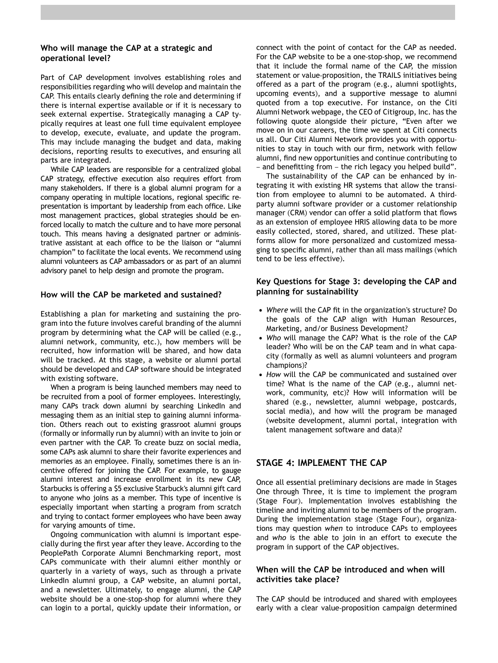## **Who will manage the CAP at a strategic and operational level?**

Part of CAP development involves establishing roles and responsibilities regarding who will develop and maintain the CAP. This entails clearly defining the role and determining if there is internal expertise available or if it is necessary to seek external expertise. Strategically managing a CAP typically requires at least one full time equivalent employee to develop, execute, evaluate, and update the program. This may include managing the budget and data, making decisions, reporting results to executives, and ensuring all parts are integrated.

While CAP leaders are responsible for a centralized global CAP strategy, effective execution also requires effort from many stakeholders. If there is a global alumni program for a company operating in multiple locations, regional specific representation is important by leadership from each office. Like most management practices, global strategies should be enforced locally to match the culture and to have more personal touch. This means having a designated partner or administrative assistant at each office to be the liaison or "alumni champion" to facilitate the local events. We recommend using alumni volunteers as CAP ambassadors or as part of an alumni advisory panel to help design and promote the program.

## **How will the CAP be marketed and sustained?**

Establishing a plan for marketing and sustaining the program into the future involves careful branding of the alumni program by determining what the CAP will be called (e.g., alumni network, community, etc.), how members will be recruited, how information will be shared, and how data will be tracked. At this stage, a website or alumni portal should be developed and CAP software should be integrated with existing software.

When a program is being launched members may need to be recruited from a pool of former employees. Interestingly, many CAPs track down alumni by searching LinkedIn and messaging them as an initial step to gaining alumni information. Others reach out to existing grassroot alumni groups (formally or informally run by alumni) with an invite to join or even partner with the CAP. To create buzz on social media, some CAPs ask alumni to share their favorite experiences and memories as an employee. Finally, sometimes there is an incentive offered for joining the CAP. For example, to gauge alumni interest and increase enrollment in its new CAP, Starbucks is offering a \$5 exclusive Starbuck's alumni gift card to anyone who joins as a member. This type of incentive is especially important when starting a program from scratch and trying to contact former employees who have been away for varying amounts of time.

Ongoing communication with alumni is important especially during the first year after they leave. According to the PeoplePath Corporate Alumni Benchmarking report, most CAPs communicate with their alumni either monthly or quarterly in a variety of ways, such as through a private LinkedIn alumni group, a CAP website, an alumni portal, and a newsletter. Ultimately, to engage alumni, the CAP website should be a one-stop-shop for alumni where they can login to a portal, quickly update their information, or

connect with the point of contact for the CAP as needed. For the CAP website to be a one-stop-shop, we recommend that it include the formal name of the CAP, the mission statement or value-proposition, the TRAILS initiatives being offered as a part of the program (e.g., alumni spotlights, upcoming events), and a supportive message to alumni quoted from a top executive. For instance, on the Citi Alumni Network webpage, the CEO of Citigroup, Inc. has the following quote alongside their picture, "Even after we move on in our careers, the time we spent at Citi connects us all. Our Citi Alumni Network provides you with opportunities to stay in touch with our firm, network with fellow alumni, find new opportunities and continue contributing to – and benefitting from – the rich legacy you helped build".

The sustainability of the CAP can be enhanced by integrating it with existing HR systems that allow the transition from employee to alumni to be automated. A thirdparty alumni software provider or a customer relationship manager (CRM) vendor can offer a solid platform that flows as an extension of employee HRIS allowing data to be more easily collected, stored, shared, and utilized. These platforms allow for more personalized and customized messaging to specific alumni, rather than all mass mailings (which tend to be less effective).

## **Key Questions for Stage 3: developing the CAP and planning for sustainability**

- *Where* will the CAP fit in the organization's structure? Do the goals of the CAP align with Human Resources, Marketing, and/or Business Development?
- *Who* will manage the CAP? What is the role of the CAP leader? Who will be on the CAP team and in what capacity (formally as well as alumni volunteers and program champions)?
- *How* will the CAP be communicated and sustained over time? What is the name of the CAP (e.g., alumni network, community, etc)? How will information will be shared (e.g., newsletter, alumni webpage, postcards, social media), and how will the program be managed (website development, alumni portal, integration with talent management software and data)?

## **STAGE 4: IMPLEMENT THE CAP**

Once all essential preliminary decisions are made in Stages One through Three, it is time to implement the program (Stage Four). Implementation involves establishing the timeline and inviting alumni to be members of the program. During the implementation stage (Stage Four), organizations may question *when* to introduce CAPs to employees and *who* is the able to join in an effort to execute the program in support of the CAP objectives.

## **When will the CAP be introduced and when will activities take place?**

The CAP should be introduced and shared with employees early with a clear value-proposition campaign determined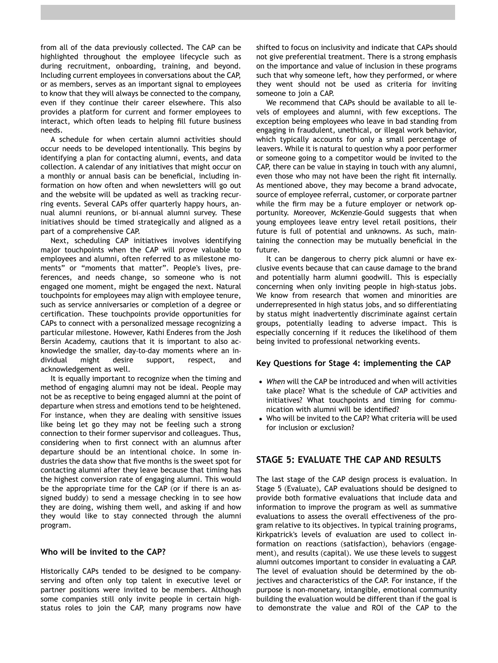from all of the data previously collected. The CAP can be highlighted throughout the employee lifecycle such as during recruitment, onboarding, training, and beyond. Including current employees in conversations about the CAP, or as members, serves as an important signal to employees to know that they will always be connected to the company, even if they continue their career elsewhere. This also provides a platform for current and former employees to interact, which often leads to helping fill future business needs.

A schedule for when certain alumni activities should occur needs to be developed intentionally. This begins by identifying a plan for contacting alumni, events, and data collection. A calendar of any initiatives that might occur on a monthly or annual basis can be beneficial, including information on how often and when newsletters will go out and the website will be updated as well as tracking recurring events. Several CAPs offer quarterly happy hours, annual alumni reunions, or bi-annual alumni survey. These initiatives should be timed strategically and aligned as a part of a comprehensive CAP.

Next, scheduling CAP initiatives involves identifying major touchpoints when the CAP will prove valuable to employees and alumni, often referred to as milestone moments" or "moments that matter". People's lives, preferences, and needs change, so someone who is not engaged one moment, might be engaged the next. Natural touchpoints for employees may align with employee tenure, such as service anniversaries or completion of a degree or certification. These touchpoints provide opportunities for CAPs to connect with a personalized message recognizing a particular milestone. However, Kathi Enderes from the Josh Bersin Academy, cautions that it is important to also acknowledge the smaller, day-to-day moments where an individual might desire support, respect, and acknowledgement as well.

It is equally important to recognize when the timing and method of engaging alumni may not be ideal. People may not be as receptive to being engaged alumni at the point of departure when stress and emotions tend to be heightened. For instance, when they are dealing with sensitive issues like being let go they may not be feeling such a strong connection to their former supervisor and colleagues. Thus, considering when to first connect with an alumnus after departure should be an intentional choice. In some industries the data show that five months is the sweet spot for contacting alumni after they leave because that timing has the highest conversion rate of engaging alumni. This would be the appropriate time for the CAP (or if there is an assigned buddy) to send a message checking in to see how they are doing, wishing them well, and asking if and how they would like to stay connected through the alumni program.

## **Who will be invited to the CAP?**

Historically CAPs tended to be designed to be companyserving and often only top talent in executive level or partner positions were invited to be members. Although some companies still only invite people in certain highstatus roles to join the CAP, many programs now have shifted to focus on inclusivity and indicate that CAPs should not give preferential treatment. There is a strong emphasis on the importance and value of inclusion in these programs such that why someone left, how they performed, or where they went should not be used as criteria for inviting someone to join a CAP.

We recommend that CAPs should be available to all levels of employees and alumni, with few exceptions. The exception being employees who leave in bad standing from engaging in fraudulent, unethical, or illegal work behavior, which typically accounts for only a small percentage of leavers. While it is natural to question why a poor performer or someone going to a competitor would be invited to the CAP, there can be value in staying in touch with any alumni, even those who may not have been the right fit internally. As mentioned above, they may become a brand advocate, source of employee referral, customer, or corporate partner while the firm may be a future employer or network opportunity. Moreover, McKenzie-Gould suggests that when young employees leave entry level retail positions, their future is full of potential and unknowns. As such, maintaining the connection may be mutually beneficial in the future.

It can be dangerous to cherry pick alumni or have exclusive events because that can cause damage to the brand and potentially harm alumni goodwill. This is especially concerning when only inviting people in high-status jobs. We know from research that women and minorities are underrepresented in high status jobs, and so differentiating by status might inadvertently discriminate against certain groups, potentially leading to adverse impact. This is especially concerning if it reduces the likelihood of them being invited to professional networking events.

### **Key Questions for Stage 4: implementing the CAP**

- *When* will the CAP be introduced and when will activities take place? What is the schedule of CAP activities and initiatives? What touchpoints and timing for communication with alumni will be identified?
- Who will be invited to the CAP? What criteria will be used for inclusion or exclusion?

## **STAGE 5: EVALUATE THE CAP AND RESULTS**

The last stage of the CAP design process is evaluation. In Stage 5 (Evaluate), CAP evaluations should be designed to provide both formative evaluations that include data and information to improve the program as well as summative evaluations to assess the overall effectiveness of the program relative to its objectives. In typical training programs, Kirkpatrick's levels of evaluation are used to collect information on reactions (satisfaction), behaviors (engagement), and results (capital). We use these levels to suggest alumni outcomes important to consider in evaluating a CAP. The level of evaluation should be determined by the objectives and characteristics of the CAP. For instance, if the purpose is non-monetary, intangible, emotional community building the evaluation would be different than if the goal is to demonstrate the value and ROI of the CAP to the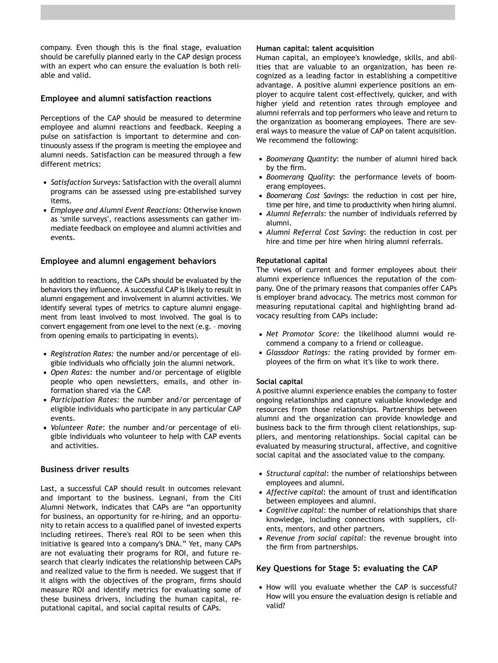company. Even though this is the final stage, evaluation should be carefully planned early in the CAP design process with an expert who can ensure the evaluation is both reliable and valid.

## **Employee and alumni satisfaction reactions**

Perceptions of the CAP should be measured to determine employee and alumni reactions and feedback. Keeping a pulse on satisfaction is important to determine and continuously assess if the program is meeting the employee and alumni needs. Satisfaction can be measured through a few different metrics:

- *Satisfaction Surveys:* Satisfaction with the overall alumni programs can be assessed using pre-established survey items.
- *Employee and Alumni Event Reactions:* Otherwise known as 'smile surveys', reactions assessments can gather immediate feedback on employee and alumni activities and events.

### **Employee and alumni engagement behaviors**

In addition to reactions, the CAPs should be evaluated by the behaviors they influence. A successful CAP is likely to result in alumni engagement and involvement in alumni activities. We identify several types of metrics to capture alumni engagement from least involved to most involved. The goal is to convert engagement from one level to the next (e.g. – moving from opening emails to participating in events).

- *Registration Rates:* the number and/or percentage of eligible individuals who officially join the alumni network.
- *Open Rates:* the number and/or percentage of eligible people who open newsletters, emails, and other information shared via the CAP.
- *Participation Rates:* the number and/or percentage of eligible individuals who participate in any particular CAP events.
- *Volunteer Rate*: the number and/or percentage of eligible individuals who volunteer to help with CAP events and activities.

## **Business driver results**

Last, a successful CAP should result in outcomes relevant and important to the business. Legnani, from the Citi Alumni Network, indicates that CAPs are "an opportunity for business, an opportunity for re-hiring, and an opportunity to retain access to a qualified panel of invested experts including retirees. There's real ROI to be seen when this initiative is geared into a company's DNA." Yet, many CAPs are not evaluating their programs for ROI, and future research that clearly indicates the relationship between CAPs and realized value to the firm is needed. We suggest that if it aligns with the objectives of the program, firms should measure ROI and identify metrics for evaluating some of these business drivers, including the human capital, reputational capital, and social capital results of CAPs.

#### **Human capital: talent acquisition**

Human capital, an employee's knowledge, skills, and abilities that are valuable to an organization, has been recognized as a leading factor in establishing a competitive advantage. A positive alumni experience positions an employer to acquire talent cost-effectively, quicker, and with higher yield and retention rates through employee and alumni referrals and top performers who leave and return to the organization as boomerang employees. There are several ways to measure the value of CAP on talent acquisition. We recommend the following:

- *Boomerang Quantity*: the number of alumni hired back by the firm.
- *Boomerang Quality*: the performance levels of boomerang employees.
- *Boomerang Cost Savings*: the reduction in cost per hire, time per hire, and time to productivity when hiring alumni.
- *Alumni Referrals*: the number of individuals referred by alumni.
- *Alumni Referral Cost Saving*: the reduction in cost per hire and time per hire when hiring alumni referrals.

#### **Reputational capital**

The views of current and former employees about their alumni experience influences the reputation of the company. One of the primary reasons that companies offer CAPs is employer brand advocacy. The metrics most common for measuring reputational capital and highlighting brand advocacy resulting from CAPs include:

- *Net Promotor Score:* the likelihood alumni would recommend a company to a friend or colleague.
- *Glassdoor Ratings:* the rating provided by former employees of the firm on what it's like to work there.

#### **Social capital**

A positive alumni experience enables the company to foster ongoing relationships and capture valuable knowledge and resources from those relationships. Partnerships between alumni and the organization can provide knowledge and business back to the firm through client relationships, suppliers, and mentoring relationships. Social capital can be evaluated by measuring structural, affective, and cognitive social capital and the associated value to the company.

- *Structural capital*: the number of relationships between employees and alumni.
- *Affective capital*: the amount of trust and identification between employees and alumni.
- *Cognitive capital*: the number of relationships that share knowledge, including connections with suppliers, clients, mentors, and other partners.
- *Revenue from social capital:* the revenue brought into the firm from partnerships.

## **Key Questions for Stage 5: evaluating the CAP**

• How will you evaluate whether the CAP is successful? How will you ensure the evaluation design is reliable and valid?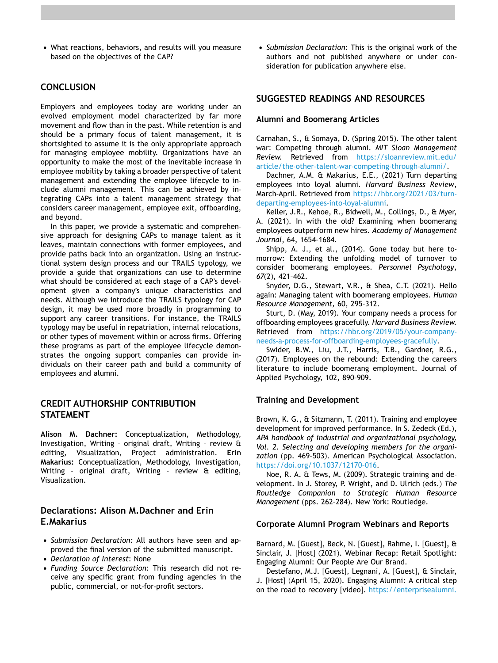• What reactions, behaviors, and results will you measure based on the objectives of the CAP?

## **CONCLUSION**

Employers and employees today are working under an evolved employment model characterized by far more movement and flow than in the past. While retention is and should be a primary focus of talent management, it is shortsighted to assume it is the only appropriate approach for managing employee mobility. Organizations have an opportunity to make the most of the inevitable increase in employee mobility by taking a broader perspective of talent management and extending the employee lifecycle to include alumni management. This can be achieved by integrating CAPs into a talent management strategy that considers career management, employee exit, offboarding, and beyond.

In this paper, we provide a systematic and comprehensive approach for designing CAPs to manage talent as it leaves, maintain connections with former employees, and provide paths back into an organization. Using an instructional system design process and our TRAILS typology, we provide a guide that organizations can use to determine what should be considered at each stage of a CAP's development given a company's unique characteristics and needs. Although we introduce the TRAILS typology for CAP design, it may be used more broadly in programming to support any career transitions. For instance, the TRAILS typology may be useful in repatriation, internal relocations, or other types of movement within or across firms. Offering these programs as part of the employee lifecycle demonstrates the ongoing support companies can provide individuals on their career path and build a community of employees and alumni.

## **CREDIT AUTHORSHIP CONTRIBUTION STATEMENT**

**Alison M. Dachner:** Conceptualization, Methodology, Investigation, Writing – original draft, Writing – review & editing, Visualization, Project administration. **Erin Makarius:** Conceptualization, Methodology, Investigation, Writing – original draft, Writing – review & editing, Visualization.

## **Declarations: Alison M.Dachner and Erin E.Makarius**

- *Submission Declaration:* All authors have seen and approved the final version of the submitted manuscript.
- *Declaration of Interest*: None
- *Funding Source Declaration*: This research did not receive any specific grant from funding agencies in the public, commercial, or not-for-profit sectors.

• *Submission Declaration*: This is the original work of the authors and not published anywhere or under consideration for publication anywhere else.

## **SUGGESTED READINGS AND RESOURCES**

#### **Alumni and Boomerang Articles**

Carnahan, S., & Somaya, D. (Spring 2015). The other talent war: Competing through alumni. *MIT Sloan Management Review.* Retrieved from [https://sloanreview.mit.edu/](https://sloanreview.mit.edu/article/the-other-talent-war-competing-through-alumni/)  [article/the](https://sloanreview.mit.edu/article/the-other-talent-war-competing-through-alumni/)-other-talent-war-competing-through-alumni/.

Dachner, A.M. & Makarius, E.E., (2021) Turn departing employees into loyal alumni. *Harvard Business Review*, March-April. Retrieved from [https://hbr.org/2021/03/turn](https://hbr.org/2021/03/turn-departing-employees-into-loyal-alumni)departing-[employees](https://hbr.org/2021/03/turn-departing-employees-into-loyal-alumni)-into-loyal-alumni.

Keller, J.R., Kehoe, R., Bidwell, M., Collings, D., & Myer, A. (2021). In with the old? Examining when boomerang employees outperform new hires. *Academy of Management Journal*, 64, 1654–1684.

Shipp, A. J., et al., (2014). Gone today but here tomorrow: Extending the unfolding model of turnover to consider boomerang employees. *Personnel Psychology*, *67*(2), 421–462.

Snyder, D.G., Stewart, V.R., & Shea, C.T. (2021). Hello again: Managing talent with boomerang employees. *Human Resource Management,* 60, 295–312.

Sturt, D. (May, 2019). Your company needs a process for offboarding employees gracefully. *Harvard Business Review.*  Retrieved from [https://hbr.org/2019/05/your](https://hbr.org/2019/05/your-company-needs-a-process-for-offboarding-employees-gracefully)-companyneeds-a-process-for-[offboarding](https://hbr.org/2019/05/your-company-needs-a-process-for-offboarding-employees-gracefully)-employees-gracefully.

Swider, B.W., Liu, J.T., Harris, T.B., Gardner, R.G., (2017). Employees on the rebound: Extending the careers literature to include boomerang employment. Journal of Applied Psychology, 102, 890–909.

### **Training and Development**

Brown, K. G., & Sitzmann, T. (2011). Training and employee development for improved performance. In S. Zedeck (Ed.), *APA handbook of industrial and organizational psychology, Vol. 2. Selecting and developing members for the organi*zation (pp. 469-503). American Psychological Association. [https://doi.org/10.1037/12170–016.](https://doi.org/10.1037/12170-016)

Noe, R. A. & Tews, M. (2009). Strategic training and development. In J. Storey, P. Wright, and D. Ulrich (eds.) *The Routledge Companion to Strategic Human Resource Management* (pps. 262–284). New York: Routledge.

#### **Corporate Alumni Program Webinars and Reports**

Barnard, M. [Guest], Beck, N. [Guest], Rahme, I. [Guest], & Sinclair, J. [Host] (2021). Webinar Recap: Retail Spotlight: Engaging Alumni: Our People Are Our Brand.

Destefano, M.J. [Guest], Legnani, A. [Guest], & Sinclair, J. [Host] (April 15, 2020). Engaging Alumni: A critical step on the road to recovery [video]. [https://enterprisealumni.](https://enterprisealumni.com/news/alumni-videos/engaging-corporate-alumni-business-roi/)